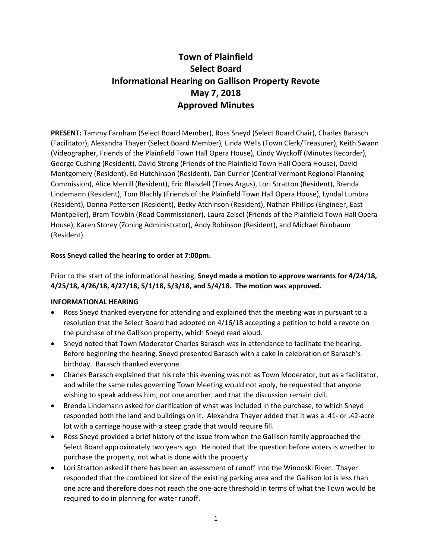# **Town of Plainfield Select Board Informational Hearing on Gallison Property Revote May 7, 2018 Approved Minutes**

**PRESENT:** Tammy Farnham (Select Board Member), Ross Sneyd (Select Board Chair), Charles Barasch (Facilitator), Alexandra Thayer (Select Board Member), Linda Wells (Town Clerk/Treasurer), Keith Swann (Videographer, Friends of the Plainfield Town Hall Opera House), Cindy Wyckoff (Minutes Recorder), George Cushing (Resident), David Strong (Friends of the Plainfield Town Hall Opera House), David Montgomery (Resident), Ed Hutchinson (Resident), Dan Currier (Central Vermont Regional Planning Commission), Alice Merrill (Resident), Eric Blaisdell (Times Argus), Lori Stratton (Resident), Brenda Lindemann (Resident), Tom Blachly (Friends of the Plainfield Town Hall Opera House), Lyndal Lumbra (Resident), Donna Pettersen (Resident), Becky Atchinson (Resident), Nathan Phillips (Engineer, East Montpelier), Bram Towbin (Road Commissioner), Laura Zeisel (Friends of the Plainfield Town Hall Opera House), Karen Storey (Zoning Administrator), Andy Robinson (Resident), and Michael Birnbaum (Resident).

## **Ross Sneyd called the hearing to order at 7:00pm.**

## Prior to the start of the informational hearing, **Sneyd made a motion to approve warrants for 4/24/18, 4/25/18, 4/26/18, 4/27/18, 5/1/18, 5/3/18, and 5/4/18. The motion was approved.**

### **INFORMATIONAL HEARING**

- Ross Sneyd thanked everyone for attending and explained that the meeting was in pursuant to a resolution that the Select Board had adopted on 4/16/18 accepting a petition to hold a revote on the purchase of the Gallison property, which Sneyd read aloud.
- Sneyd noted that Town Moderator Charles Barasch was in attendance to facilitate the hearing. Before beginning the hearing, Sneyd presented Barasch with a cake in celebration of Barasch's birthday. Barasch thanked everyone.
- Charles Barasch explained that his role this evening was not as Town Moderator, but as a facilitator, and while the same rules governing Town Meeting would not apply, he requested that anyone wishing to speak address him, not one another, and that the discussion remain civil.
- Brenda Lindemann asked for clarification of what was included in the purchase, to which Sneyd responded both the land and buildings on it. Alexandra Thayer added that it was a .41- or .42-acre lot with a carriage house with a steep grade that would require fill.
- Ross Sneyd provided a brief history of the issue from when the Gallison family approached the Select Board approximately two years ago. He noted that the question before voters is whether to purchase the property, not what is done with the property.
- Lori Stratton asked if there has been an assessment of runoff into the Winooski River. Thayer responded that the combined lot size of the existing parking area and the Gallison lot is less than one acre and therefore does not reach the one-acre threshold in terms of what the Town would be required to do in planning for water runoff.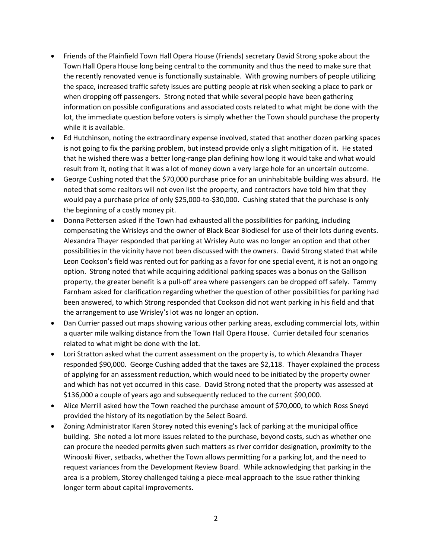- Friends of the Plainfield Town Hall Opera House (Friends) secretary David Strong spoke about the Town Hall Opera House long being central to the community and thus the need to make sure that the recently renovated venue is functionally sustainable. With growing numbers of people utilizing the space, increased traffic safety issues are putting people at risk when seeking a place to park or when dropping off passengers. Strong noted that while several people have been gathering information on possible configurations and associated costs related to what might be done with the lot, the immediate question before voters is simply whether the Town should purchase the property while it is available.
- Ed Hutchinson, noting the extraordinary expense involved, stated that another dozen parking spaces is not going to fix the parking problem, but instead provide only a slight mitigation of it. He stated that he wished there was a better long-range plan defining how long it would take and what would result from it, noting that it was a lot of money down a very large hole for an uncertain outcome.
- George Cushing noted that the \$70,000 purchase price for an uninhabitable building was absurd. He noted that some realtors will not even list the property, and contractors have told him that they would pay a purchase price of only \$25,000-to-\$30,000. Cushing stated that the purchase is only the beginning of a costly money pit.
- Donna Pettersen asked if the Town had exhausted all the possibilities for parking, including compensating the Wrisleys and the owner of Black Bear Biodiesel for use of their lots during events. Alexandra Thayer responded that parking at Wrisley Auto was no longer an option and that other possibilities in the vicinity have not been discussed with the owners. David Strong stated that while Leon Cookson's field was rented out for parking as a favor for one special event, it is not an ongoing option. Strong noted that while acquiring additional parking spaces was a bonus on the Gallison property, the greater benefit is a pull-off area where passengers can be dropped off safely. Tammy Farnham asked for clarification regarding whether the question of other possibilities for parking had been answered, to which Strong responded that Cookson did not want parking in his field and that the arrangement to use Wrisley's lot was no longer an option.
- Dan Currier passed out maps showing various other parking areas, excluding commercial lots, within a quarter mile walking distance from the Town Hall Opera House. Currier detailed four scenarios related to what might be done with the lot.
- Lori Stratton asked what the current assessment on the property is, to which Alexandra Thayer responded \$90,000. George Cushing added that the taxes are \$2,118. Thayer explained the process of applying for an assessment reduction, which would need to be initiated by the property owner and which has not yet occurred in this case. David Strong noted that the property was assessed at \$136,000 a couple of years ago and subsequently reduced to the current \$90,000.
- Alice Merrill asked how the Town reached the purchase amount of \$70,000, to which Ross Sneyd provided the history of its negotiation by the Select Board.
- Zoning Administrator Karen Storey noted this evening's lack of parking at the municipal office building. She noted a lot more issues related to the purchase, beyond costs, such as whether one can procure the needed permits given such matters as river corridor designation, proximity to the Winooski River, setbacks, whether the Town allows permitting for a parking lot, and the need to request variances from the Development Review Board. While acknowledging that parking in the area is a problem, Storey challenged taking a piece-meal approach to the issue rather thinking longer term about capital improvements.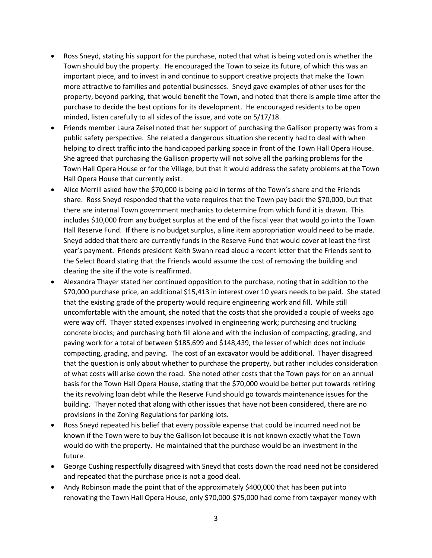- Ross Sneyd, stating his support for the purchase, noted that what is being voted on is whether the Town should buy the property. He encouraged the Town to seize its future, of which this was an important piece, and to invest in and continue to support creative projects that make the Town more attractive to families and potential businesses. Sneyd gave examples of other uses for the property, beyond parking, that would benefit the Town, and noted that there is ample time after the purchase to decide the best options for its development. He encouraged residents to be open minded, listen carefully to all sides of the issue, and vote on 5/17/18.
- Friends member Laura Zeisel noted that her support of purchasing the Gallison property was from a public safety perspective. She related a dangerous situation she recently had to deal with when helping to direct traffic into the handicapped parking space in front of the Town Hall Opera House. She agreed that purchasing the Gallison property will not solve all the parking problems for the Town Hall Opera House or for the Village, but that it would address the safety problems at the Town Hall Opera House that currently exist.
- Alice Merrill asked how the \$70,000 is being paid in terms of the Town's share and the Friends share. Ross Sneyd responded that the vote requires that the Town pay back the \$70,000, but that there are internal Town government mechanics to determine from which fund it is drawn. This includes \$10,000 from any budget surplus at the end of the fiscal year that would go into the Town Hall Reserve Fund. If there is no budget surplus, a line item appropriation would need to be made. Sneyd added that there are currently funds in the Reserve Fund that would cover at least the first year's payment. Friends president Keith Swann read aloud a recent letter that the Friends sent to the Select Board stating that the Friends would assume the cost of removing the building and clearing the site if the vote is reaffirmed.
- Alexandra Thayer stated her continued opposition to the purchase, noting that in addition to the \$70,000 purchase price, an additional \$15,413 in interest over 10 years needs to be paid. She stated that the existing grade of the property would require engineering work and fill. While still uncomfortable with the amount, she noted that the costs that she provided a couple of weeks ago were way off. Thayer stated expenses involved in engineering work; purchasing and trucking concrete blocks; and purchasing both fill alone and with the inclusion of compacting, grading, and paving work for a total of between \$185,699 and \$148,439, the lesser of which does not include compacting, grading, and paving. The cost of an excavator would be additional. Thayer disagreed that the question is only about whether to purchase the property, but rather includes consideration of what costs will arise down the road. She noted other costs that the Town pays for on an annual basis for the Town Hall Opera House, stating that the \$70,000 would be better put towards retiring the its revolving loan debt while the Reserve Fund should go towards maintenance issues for the building. Thayer noted that along with other issues that have not been considered, there are no provisions in the Zoning Regulations for parking lots.
- Ross Sneyd repeated his belief that every possible expense that could be incurred need not be known if the Town were to buy the Gallison lot because it is not known exactly what the Town would do with the property. He maintained that the purchase would be an investment in the future.
- George Cushing respectfully disagreed with Sneyd that costs down the road need not be considered and repeated that the purchase price is not a good deal.
- Andy Robinson made the point that of the approximately \$400,000 that has been put into renovating the Town Hall Opera House, only \$70,000-\$75,000 had come from taxpayer money with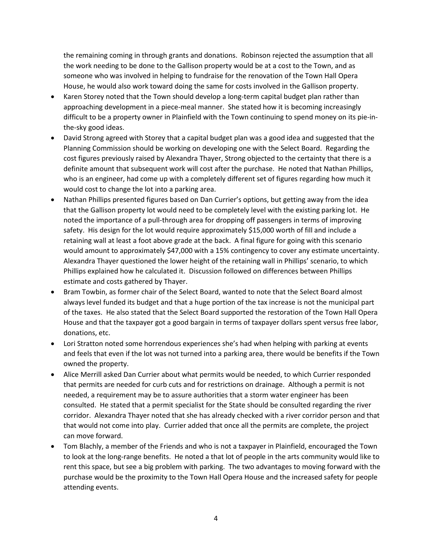the remaining coming in through grants and donations. Robinson rejected the assumption that all the work needing to be done to the Gallison property would be at a cost to the Town, and as someone who was involved in helping to fundraise for the renovation of the Town Hall Opera House, he would also work toward doing the same for costs involved in the Gallison property.

- Karen Storey noted that the Town should develop a long-term capital budget plan rather than approaching development in a piece-meal manner. She stated how it is becoming increasingly difficult to be a property owner in Plainfield with the Town continuing to spend money on its pie-inthe-sky good ideas.
- David Strong agreed with Storey that a capital budget plan was a good idea and suggested that the Planning Commission should be working on developing one with the Select Board. Regarding the cost figures previously raised by Alexandra Thayer, Strong objected to the certainty that there is a definite amount that subsequent work will cost after the purchase. He noted that Nathan Phillips, who is an engineer, had come up with a completely different set of figures regarding how much it would cost to change the lot into a parking area.
- Nathan Phillips presented figures based on Dan Currier's options, but getting away from the idea that the Gallison property lot would need to be completely level with the existing parking lot. He noted the importance of a pull-through area for dropping off passengers in terms of improving safety. His design for the lot would require approximately \$15,000 worth of fill and include a retaining wall at least a foot above grade at the back. A final figure for going with this scenario would amount to approximately \$47,000 with a 15% contingency to cover any estimate uncertainty. Alexandra Thayer questioned the lower height of the retaining wall in Phillips' scenario, to which Phillips explained how he calculated it. Discussion followed on differences between Phillips estimate and costs gathered by Thayer.
- Bram Towbin, as former chair of the Select Board, wanted to note that the Select Board almost always level funded its budget and that a huge portion of the tax increase is not the municipal part of the taxes. He also stated that the Select Board supported the restoration of the Town Hall Opera House and that the taxpayer got a good bargain in terms of taxpayer dollars spent versus free labor, donations, etc.
- Lori Stratton noted some horrendous experiences she's had when helping with parking at events and feels that even if the lot was not turned into a parking area, there would be benefits if the Town owned the property.
- Alice Merrill asked Dan Currier about what permits would be needed, to which Currier responded that permits are needed for curb cuts and for restrictions on drainage. Although a permit is not needed, a requirement may be to assure authorities that a storm water engineer has been consulted. He stated that a permit specialist for the State should be consulted regarding the river corridor. Alexandra Thayer noted that she has already checked with a river corridor person and that that would not come into play. Currier added that once all the permits are complete, the project can move forward.
- Tom Blachly, a member of the Friends and who is not a taxpayer in Plainfield, encouraged the Town to look at the long-range benefits. He noted a that lot of people in the arts community would like to rent this space, but see a big problem with parking. The two advantages to moving forward with the purchase would be the proximity to the Town Hall Opera House and the increased safety for people attending events.